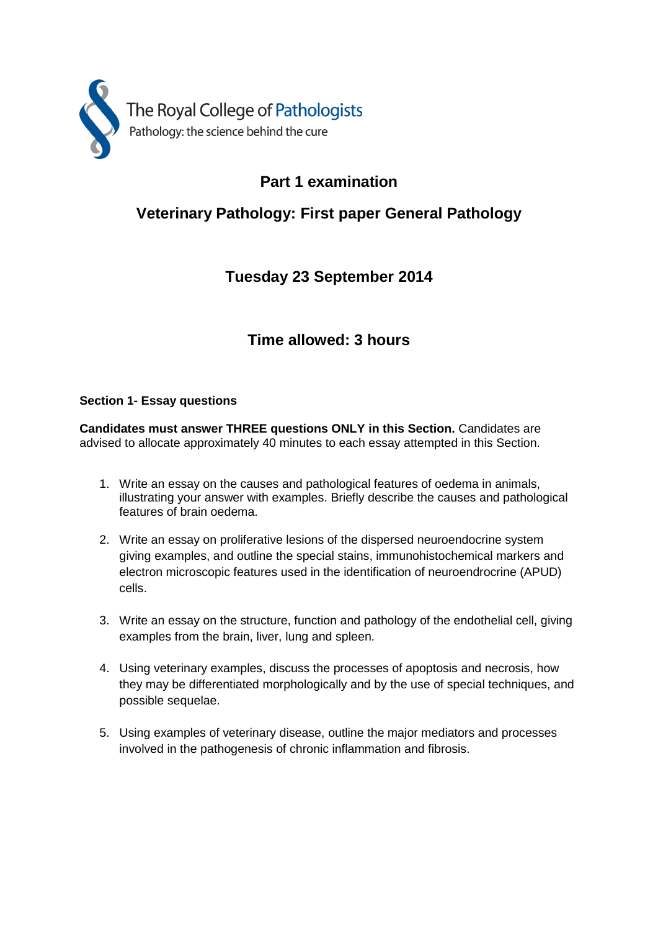

### **Part 1 examination**

# **Veterinary Pathology: First paper General Pathology**

# **Tuesday 23 September 2014**

### **Time allowed: 3 hours**

#### **Section 1- Essay questions**

**Candidates must answer THREE questions ONLY in this Section.** Candidates are advised to allocate approximately 40 minutes to each essay attempted in this Section.

- 1. Write an essay on the causes and pathological features of oedema in animals, illustrating your answer with examples. Briefly describe the causes and pathological features of brain oedema.
- 2. Write an essay on proliferative lesions of the dispersed neuroendocrine system giving examples, and outline the special stains, immunohistochemical markers and electron microscopic features used in the identification of neuroendrocrine (APUD) cells.
- 3. Write an essay on the structure, function and pathology of the endothelial cell, giving examples from the brain, liver, lung and spleen.
- 4. Using veterinary examples, discuss the processes of apoptosis and necrosis, how they may be differentiated morphologically and by the use of special techniques, and possible sequelae.
- 5. Using examples of veterinary disease, outline the major mediators and processes involved in the pathogenesis of chronic inflammation and fibrosis.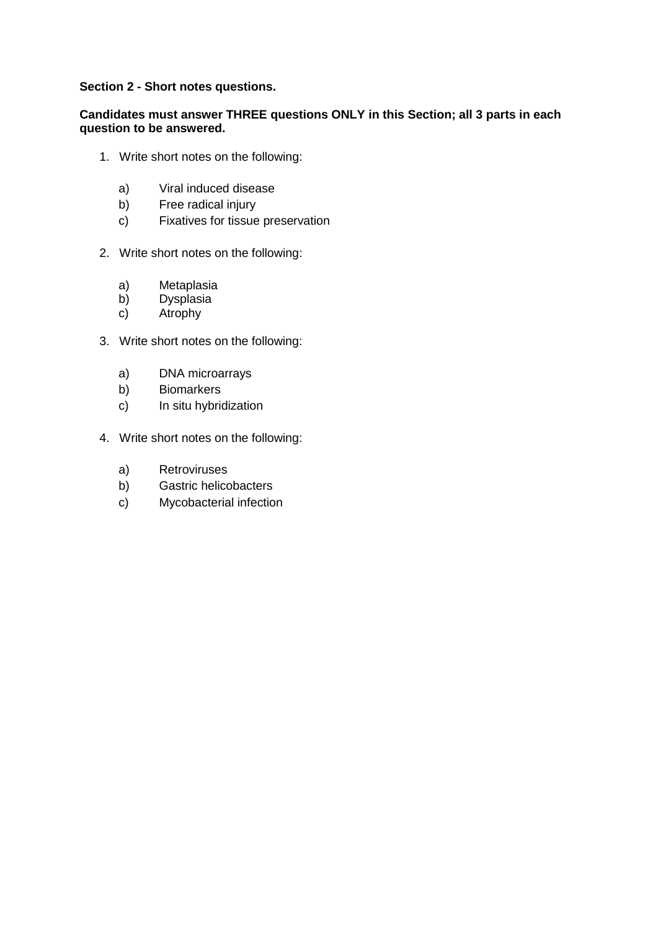#### **Section 2 - Short notes questions.**

#### **Candidates must answer THREE questions ONLY in this Section; all 3 parts in each question to be answered.**

- 1. Write short notes on the following:
	- a) Viral induced disease
	- b) Free radical injury
	- c) Fixatives for tissue preservation
- 2. Write short notes on the following:
	- a) Metaplasia<br>b) Dysplasia
	- **Dysplasia**
	- c) Atrophy
- 3. Write short notes on the following:
	- a) DNA microarrays
	- b) Biomarkers
	- c) In situ hybridization
- 4. Write short notes on the following:
	- a) Retroviruses
	- b) Gastric helicobacters
	- c) Mycobacterial infection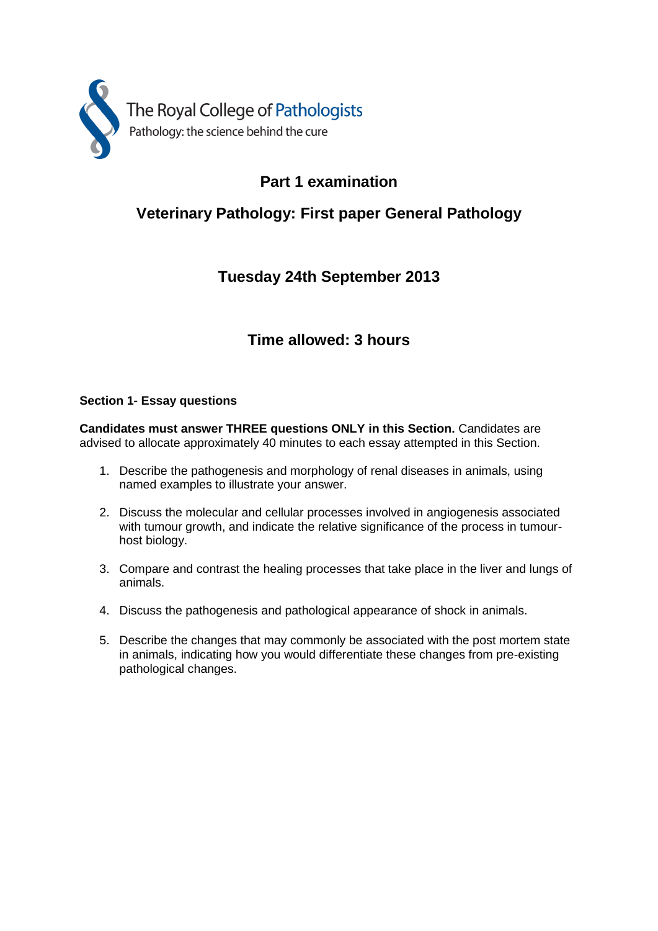

# **Part 1 examination**

# **Veterinary Pathology: First paper General Pathology**

### **Tuesday 24th September 2013**

### **Time allowed: 3 hours**

#### **Section 1- Essay questions**

**Candidates must answer THREE questions ONLY in this Section.** Candidates are advised to allocate approximately 40 minutes to each essay attempted in this Section.

- 1. Describe the pathogenesis and morphology of renal diseases in animals, using named examples to illustrate your answer.
- 2. Discuss the molecular and cellular processes involved in angiogenesis associated with tumour growth, and indicate the relative significance of the process in tumourhost biology.
- 3. Compare and contrast the healing processes that take place in the liver and lungs of animals.
- 4. Discuss the pathogenesis and pathological appearance of shock in animals.
- 5. Describe the changes that may commonly be associated with the post mortem state in animals, indicating how you would differentiate these changes from pre-existing pathological changes.